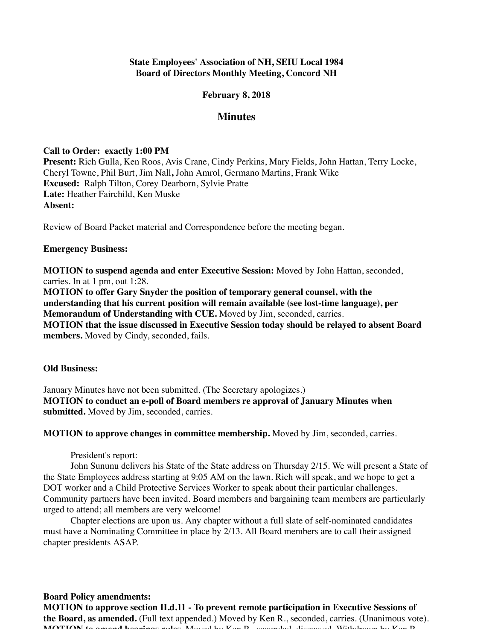## **State Employees' Association of NH, SEIU Local 1984 Board of Directors Monthly Meeting, Concord NH**

## **February 8, 2018**

# **Minutes**

## **Call to Order: exactly 1:00 PM**

**Present:** Rich Gulla, Ken Roos, Avis Crane, Cindy Perkins, Mary Fields, John Hattan, Terry Locke, Cheryl Towne, Phil Burt, Jim Nall**,** John Amrol, Germano Martins, Frank Wike **Excused:** Ralph Tilton, Corey Dearborn, Sylvie Pratte **Late:** Heather Fairchild, Ken Muske **Absent:**

Review of Board Packet material and Correspondence before the meeting began.

#### **Emergency Business:**

**MOTION to suspend agenda and enter Executive Session:** Moved by John Hattan, seconded, carries. In at 1 pm, out 1:28.

**MOTION to offer Gary Snyder the position of temporary general counsel, with the understanding that his current position will remain available (see lost-time language), per Memorandum of Understanding with CUE.** Moved by Jim, seconded, carries. **MOTION that the issue discussed in Executive Session today should be relayed to absent Board members.** Moved by Cindy, seconded, fails.

#### **Old Business:**

January Minutes have not been submitted. (The Secretary apologizes.) **MOTION to conduct an e-poll of Board members re approval of January Minutes when submitted.** Moved by Jim, seconded, carries.

**MOTION to approve changes in committee membership.** Moved by Jim, seconded, carries.

President's report:

John Sununu delivers his State of the State address on Thursday 2/15. We will present a State of the State Employees address starting at 9:05 AM on the lawn. Rich will speak, and we hope to get a DOT worker and a Child Protective Services Worker to speak about their particular challenges. Community partners have been invited. Board members and bargaining team members are particularly urged to attend; all members are very welcome!

Chapter elections are upon us. Any chapter without a full slate of self-nominated candidates must have a Nominating Committee in place by 2/13. All Board members are to call their assigned chapter presidents ASAP.

**Board Policy amendments: MOTION to approve section II.d.11 - To prevent remote participation in Executive Sessions of the Board, as amended.** (Full text appended.) Moved by Ken R., seconded, carries. (Unanimous vote). **MOTION to amend hearings rules.** Moved by Ken R., seconded, discussed. Withdrawn by Ken R.